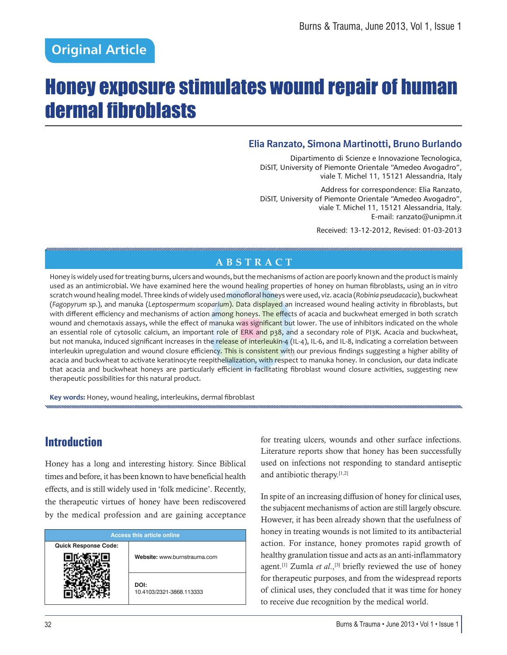# Honey exposure stimulates wound repair of human dermal fibroblasts

### **Elia Ranzato, Simona Martinotti, Bruno Burlando**

Dipartimento di Scienze e Innovazione Tecnologica, DiSIT, University of Piemonte Orientale "Amedeo Avogadro", viale T. Michel 11, 15121 Alessandria, Italy

Address for correspondence: Elia Ranzato, DiSIT, University of Piemonte Orientale "Amedeo Avogadro", viale T. Michel 11, 15121 Alessandria, Italy. E-mail: ranzato@unipmn.it

Received: 13-12-2012, Revised: 01-03-2013

### **ABSTRACT**

Honey is widely used for treating burns, ulcers and wounds, but the mechanisms of action are poorly known and the product is mainly used as an antimicrobial. We have examined here the wound healing properties of honey on human fibroblasts, using an in vitro scratch wound healing model. Three kinds of widely used monofloral honeys were used, viz. acacia (Robinia pseudacacia), buckwheat (Fagopyrum sp.), and manuka (Leptospermum scoparium). Data displayed an increased wound healing activity in fibroblasts, but with different efficiency and mechanisms of action among honeys. The effects of acacia and buckwheat emerged in both scratch wound and chemotaxis assays, while the effect of manuka was significant but lower. The use of inhibitors indicated on the whole an essential role of cytosolic calcium, an important role of ERK and p38, and a secondary role of PI3K. Acacia and buckwheat, but not manuka, induced significant increases in the release of interleukin-4 (IL-4), IL-6, and IL-8, indicating a correlation between interleukin upregulation and wound closure efficiency. This is consistent with our previous findings suggesting a higher ability of acacia and buckwheat to activate keratinocyte reepithelialization, with respect to manuka honey. In conclusion, our data indicate that acacia and buckwheat honeys are particularly efficient in facilitating fibroblast wound closure activities, suggesting new therapeutic possibilities for this natural product.

Key words: Honey, wound healing, interleukins, dermal fibroblast

# **Introduction**

Honey has a long and interesting history. Since Biblical times and before, it has been known to have beneficial health effects, and is still widely used in 'folk medicine'. Recently, the therapeutic virtues of honey have been rediscovered by the medical profession and are gaining acceptance

| <b>Access this article online</b> |                                  |  |
|-----------------------------------|----------------------------------|--|
| <b>Quick Response Code:</b>       | Website: www.burnstrauma.com     |  |
|                                   | DOI:<br>10.4103/2321-3868.113333 |  |

for treating ulcers, wounds and other surface infections. Literature reports show that honey has been successfully used on infections not responding to standard antiseptic and antibiotic therapy.[1,2]

In spite of an increasing diffusion of honey for clinical uses, the subjacent mechanisms of action are still largely obscure. However, it has been already shown that the usefulness of honey in treating wounds is not limited to its antibacterial action. For instance, honey promotes rapid growth of healthy granulation tissue and acts as an anti-inflammatory agent.<sup>[1]</sup> Zumla *et al.*,<sup>[3]</sup> briefly reviewed the use of honey for therapeutic purposes, and from the widespread reports of clinical uses, they concluded that it was time for honey to receive due recognition by the medical world.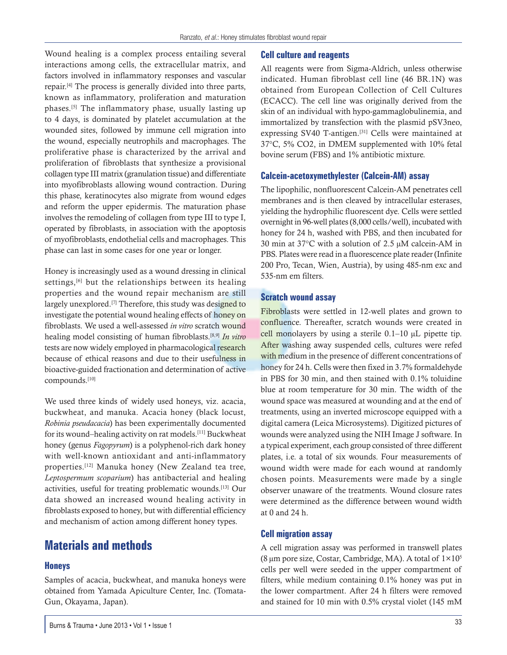Wound healing is a complex process entailing several interactions among cells, the extracellular matrix, and factors involved in inflammatory responses and vascular repair.[4] The process is generally divided into three parts, known as inflammatory, proliferation and maturation phases.[5] The inflammatory phase, usually lasting up to 4 days, is dominated by platelet accumulation at the wounded sites, followed by immune cell migration into the wound, especially neutrophils and macrophages. The proliferative phase is characterized by the arrival and proliferation of fibroblasts that synthesize a provisional collagen type III matrix (granulation tissue) and differentiate into myofibroblasts allowing wound contraction. During this phase, keratinocytes also migrate from wound edges and reform the upper epidermis. The maturation phase involves the remodeling of collagen from type III to type I, operated by fibroblasts, in association with the apoptosis of myofibroblasts, endothelial cells and macrophages. This phase can last in some cases for one year or longer.

Honey is increasingly used as a wound dressing in clinical settings,<sup>[6]</sup> but the relationships between its healing properties and the wound repair mechanism are still largely unexplored.<sup>[7]</sup> Therefore, this study was designed to investigate the potential wound healing effects of honey on fibroblasts. We used a well-assessed *in vitro* scratch wound healing model consisting of human fibroblasts.[8,9] *In vitro* tests are now widely employed in pharmacological research because of ethical reasons and due to their usefulness in bioactive-guided fractionation and determination of active compounds.[10]

We used three kinds of widely used honeys, viz. acacia, buckwheat, and manuka. Acacia honey (black locust, *Robinia pseudacacia*) has been experimentally documented for its wound–healing activity on rat models.[11] Buckwheat honey (genus *Fagopyrum*) is a polyphenol-rich dark honey with well-known antioxidant and anti-inflammatory properties.[12] Manuka honey (New Zealand tea tree, *Leptospermum scoparium*) has antibacterial and healing activities, useful for treating problematic wounds.[13] Our data showed an increased wound healing activity in fibroblasts exposed to honey, but with differential efficiency and mechanism of action among different honey types.

## **Materials and methods**

### **Honeys**

Samples of acacia, buckwheat, and manuka honeys were obtained from Yamada Apiculture Center, Inc. (Tomata-Gun, Okayama, Japan).

#### **Cell culture and reagents**

All reagents were from Sigma-Aldrich, unless otherwise indicated. Human fibroblast cell line (46 BR.1N) was obtained from European Collection of Cell Cultures (ECACC). The cell line was originally derived from the skin of an individual with hypo-gammaglobulinemia, and immortalized by transfection with the plasmid pSV3neo, expressing SV40 T-antigen.[31] Cells were maintained at 37°C, 5% CO2, in DMEM supplemented with 10% fetal bovine serum (FBS) and 1% antibiotic mixture.

#### **Calcein-acetoxymethylester (Calcein-AM) assay**

The lipophilic, nonfluorescent Calcein-AM penetrates cell membranes and is then cleaved by intracellular esterases, yielding the hydrophilic fluorescent dye. Cells were settled overnight in 96-well plates (8,000 cells/well), incubated with honey for 24 h, washed with PBS, and then incubated for 30 min at 37°C with a solution of 2.5 μM calcein-AM in PBS. Plates were read in a fluorescence plate reader (Infinite 200 Pro, Tecan, Wien, Austria), by using 485-nm exc and 535-nm em filters.

#### **Scratch wound assay**

Fibroblasts were settled in 12-well plates and grown to confluence. Thereafter, scratch wounds were created in cell monolayers by using a sterile 0.1–10 μL pipette tip. After washing away suspended cells, cultures were refed with medium in the presence of different concentrations of honey for 24 h. Cells were then fixed in 3.7% formaldehyde in PBS for 30 min, and then stained with 0.1% toluidine blue at room temperature for 30 min. The width of the wound space was measured at wounding and at the end of treatments, using an inverted microscope equipped with a digital camera (Leica Microsystems). Digitized pictures of wounds were analyzed using the NIH Image J software. In a typical experiment, each group consisted of three different plates, i.e. a total of six wounds. Four measurements of wound width were made for each wound at randomly chosen points. Measurements were made by a single observer unaware of the treatments. Wound closure rates were determined as the difference between wound width at 0 and 24 h.

#### **Cell migration assay**

A cell migration assay was performed in transwell plates (8 µm pore size, Costar, Cambridge, MA). A total of  $1 \times 10^5$ cells per well were seeded in the upper compartment of filters, while medium containing 0.1% honey was put in the lower compartment. After 24 h filters were removed and stained for 10 min with 0.5% crystal violet (145 mM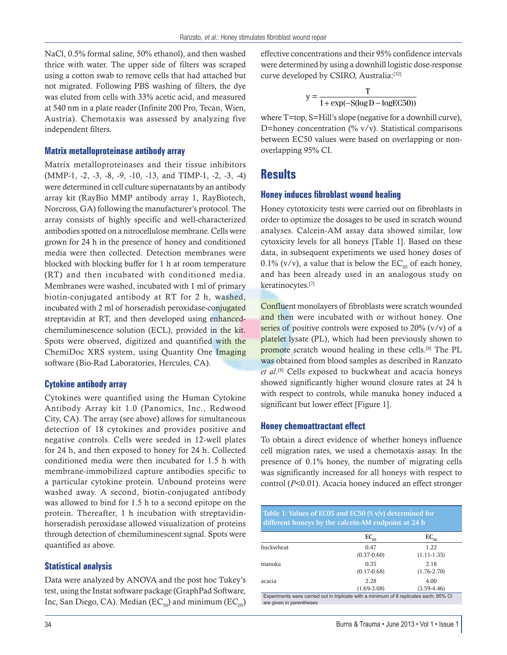NaCl, 0.5% formal saline, 50% ethanol), and then washed thrice with water. The upper side of filters was scraped using a cotton swab to remove cells that had attached but not migrated. Following PBS washing of filters, the dye was eluted from cells with 33% acetic acid, and measured at 540 nm in a plate reader (Infinite 200 Pro, Tecan, Wien, Austria). Chemotaxis was assessed by analyzing five independent filters.

#### **Matrix metalloproteinase antibody array**

Matrix metalloproteinases and their tissue inhibitors (MMP-1, -2, -3, -8, -9, -10, -13, and TIMP-1, -2, -3, -4) were determined in cell culture supernatants by an antibody array kit (RayBio MMP antibody array 1, RayBiotech, Norcross, GA) following the manufacturer's protocol. The array consists of highly specific and well-characterized antibodies spotted on a nitrocellulose membrane. Cells were grown for 24 h in the presence of honey and conditioned media were then collected. Detection membranes were blocked with blocking buffer for 1 h at room temperature (RT) and then incubated with conditioned media. Membranes were washed, incubated with 1 ml of primary biotin-conjugated antibody at RT for 2 h, washed, incubated with 2 ml of horseradish peroxidase-conjugated streptavidin at RT, and then developed using enhancedchemiluminescence solution (ECL), provided in the kit. Spots were observed, digitized and quantified with the ChemiDoc XRS system, using Quantity One Imaging software (Bio-Rad Laboratories, Hercules, CA).

#### **Cytokine antibody array**

Cytokines were quantified using the Human Cytokine Antibody Array kit 1.0 (Panomics, Inc., Redwood City, CA). The array (see above) allows for simultaneous detection of 18 cytokines and provides positive and negative controls. Cells were seeded in 12-well plates for 24 h, and then exposed to honey for 24 h. Collected conditioned media were then incubated for 1.5 h with membrane-immobilized capture antibodies specific to a particular cytokine protein. Unbound proteins were washed away. A second, biotin-conjugated antibody was allowed to bind for 1.5 h to a second epitope on the protein. Thereafter, 1 h incubation with streptavidinhorseradish peroxidase allowed visualization of proteins through detection of chemiluminescent signal. Spots were quantified as above.

#### **Statistical analysis**

Data were analyzed by ANOVA and the post hoc Tukey's test, using the Instat software package (GraphPad Software, Inc, San Diego, CA). Median (EC<sub>50</sub>) and minimum (EC<sub>05</sub>) effective concentrations and their 95% confidence intervals were determined by using a downhill logistic dose-response curve developed by CSIRO, Australia:<sup>[32]</sup>

$$
y = \frac{T}{1 + \exp(-S(\log D - \log E C 50))}
$$

where T=top, S=Hill's slope (negative for a downhill curve), D=honey concentration  $(\% \text{ v/v})$ . Statistical comparisons between EC50 values were based on overlapping or nonoverlapping 95% CI.

### **Results**

#### **Honey induces fibroblast wound healing**

Honey cytotoxicity tests were carried out on fibroblasts in order to optimize the dosages to be used in scratch wound analyses. Calcein-AM assay data showed similar, low cytoxicity levels for all honeys [Table 1]. Based on these data, in subsequent experiments we used honey doses of 0.1% (v/v), a value that is below the  $EC_{05}$  of each honey, and has been already used in an analogous study on keratinocytes.[7]

Confluent monolayers of fibroblasts were scratch wounded and then were incubated with or without honey. One series of positive controls were exposed to  $20\%$  (v/v) of a platelet lysate (PL), which had been previously shown to promote scratch wound healing in these cells.<sup>[8]</sup> The PL was obtained from blood samples as described in Ranzato *et al*. [8] Cells exposed to buckwheat and acacia honeys showed significantly higher wound closure rates at 24 h with respect to controls, while manuka honey induced a significant but lower effect [Figure 1].

#### **Honey chemoattractant effect**

To obtain a direct evidence of whether honeys influence cell migration rates, we used a chemotaxis assay. In the presence of 0.1% honey, the number of migrating cells was significantly increased for all honeys with respect to control (*P*<0.01). Acacia honey induced an effect stronger

| Table 1: Values of EC05 and EC50 $(\frac{1}{2}$ v/v) determined for<br>different honeys by the calcein-AM endpoint at 24 h |                                                                                        |                         |  |
|----------------------------------------------------------------------------------------------------------------------------|----------------------------------------------------------------------------------------|-------------------------|--|
|                                                                                                                            | $EC_{05}$                                                                              | $EC_{50}$               |  |
| buckwheat                                                                                                                  | 0.47<br>$(0.37 - 0.60)$                                                                | 1.22<br>$(1.11 - 1.35)$ |  |
| manuka                                                                                                                     | 0.35<br>$(0.17 - 0.68)$                                                                | 2.18<br>$(1.76 - 2.70)$ |  |
| acacia                                                                                                                     | 2.28<br>$(1.69 - 3.08)$                                                                | 4.00<br>$(3.59 - 4.46)$ |  |
| are given in parentheses                                                                                                   | Experiments were carried out in triplicate with a minimum of 8 replicates each; 95% CI |                         |  |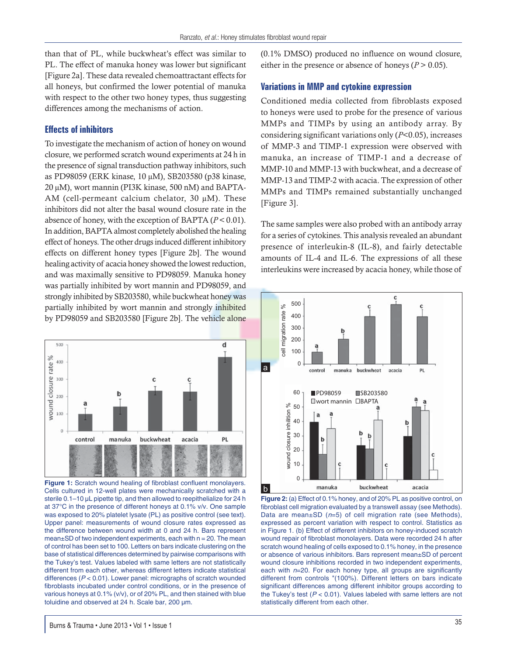than that of PL, while buckwheat's effect was similar to PL. The effect of manuka honey was lower but significant [Figure 2a]. These data revealed chemoattractant effects for all honeys, but confirmed the lower potential of manuka with respect to the other two honey types, thus suggesting differences among the mechanisms of action.

#### **Effects of inhibitors**

To investigate the mechanism of action of honey on wound closure, we performed scratch wound experiments at 24 h in the presence of signal transduction pathway inhibitors, such as PD98059 (ERK kinase, 10 μM), SB203580 (p38 kinase, 20 μM), wort mannin (PI3K kinase, 500 nM) and BAPTA-AM (cell-permeant calcium chelator, 30 μM). These inhibitors did not alter the basal wound closure rate in the absence of honey, with the exception of BAPTA  $(P < 0.01)$ . In addition, BAPTA almost completely abolished the healing effect of honeys. The other drugs induced different inhibitory effects on different honey types [Figure 2b]. The wound healing activity of acacia honey showed the lowest reduction, and was maximally sensitive to PD98059. Manuka honey was partially inhibited by wort mannin and PD98059, and strongly inhibited by SB203580, while buckwheat honey was partially inhibited by wort mannin and strongly inhibited by PD98059 and SB203580 [Figure 2b]. The vehicle alone



**Figure 1:** Scratch wound healing of fibroblast confluent monolayers. Cells cultured in 12-well plates were mechanically scratched with a sterile 0.1–10 μL pipette tip, and then allowed to reepithelialize for 24 h at 37°C in the presence of different honeys at 0.1% v/v. One sample was exposed to 20% platelet lysate (PL) as positive control (see text). Upper panel: measurements of wound closure rates expressed as the difference between wound width at 0 and 24 h. Bars represent  $mean \pm SD$  of two independent experiments, each with  $n = 20$ . The mean of control has been set to 100. Letters on bars indicate clustering on the base of statistical differences determined by pairwise comparisons with the Tukey's test. Values labeled with same letters are not statistically different from each other, whereas different letters indicate statistical differences (*P* < 0.01). Lower panel: micrographs of scratch wounded fibroblasts incubated under control conditions, or in the presence of various honeys at 0.1% (v/v), or of 20% PL, and then stained with blue toluidine and observed at 24 h. Scale bar, 200 μm.

(0.1% DMSO) produced no influence on wound closure, either in the presence or absence of honeys ( $P > 0.05$ ).

#### **Variations in MMP and cytokine expression**

Conditioned media collected from fibroblasts exposed to honeys were used to probe for the presence of various MMPs and TIMPs by using an antibody array. By considering significant variations only (*P*<0.05), increases of MMP-3 and TIMP-1 expression were observed with manuka, an increase of TIMP-1 and a decrease of MMP-10 and MMP-13 with buckwheat, and a decrease of MMP-13 and TIMP-2 with acacia. The expression of other MMPs and TIMPs remained substantially unchanged [Figure 3].

The same samples were also probed with an antibody array for a series of cytokines. This analysis revealed an abundant presence of interleukin-8 (IL-8), and fairly detectable amounts of IL-4 and IL-6. The expressions of all these interleukins were increased by acacia honey, while those of



**Figure 2:** (a) Effect of 0.1% honey, and of 20% PL as positive control, on fibroblast cell migration evaluated by a transwell assay (see Methods). Data are mean±SD (*n*=5) of cell migration rate (see Methods), expressed as percent variation with respect to control. Statistics as in Figure 1. (b) Effect of different inhibitors on honey-induced scratch wound repair of fibroblast monolayers. Data were recorded 24 h after scratch wound healing of cells exposed to 0.1% honey, in the presence or absence of various inhibitors. Bars represent mean±SD of percent wound closure inhibitions recorded in two independent experiments, each with  $n=20$ . For each honey type, all groups are significantly different from controls "(100%). Different letters on bars indicate significant differences among different inhibitor groups according to the Tukey's test (*P* < 0.01). Values labeled with same letters are not statistically different from each other.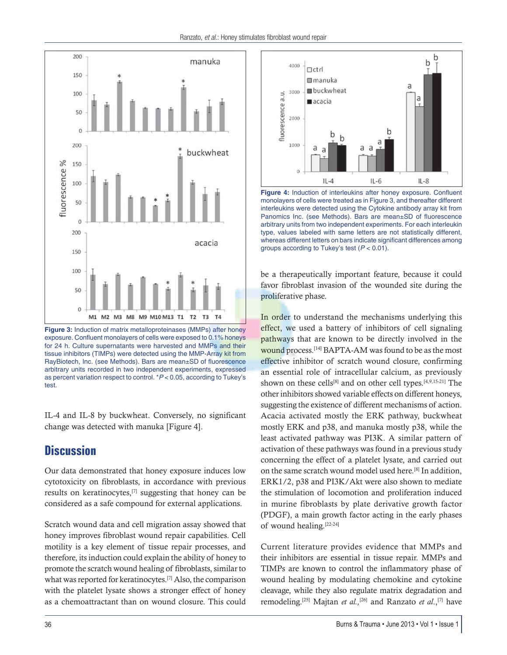

**Figure 3:** Induction of matrix metalloproteinases (MMPs) after honey exposure. Confluent monolayers of cells were exposed to 0.1% honeys for 24 h. Culture supernatants were harvested and MMPs and their tissue inhibitors (TIMPs) were detected using the MMP-Array kit from RayBiotech, Inc. (see Methods). Bars are mean±SD of fluorescence arbitrary units recorded in two independent experiments, expressed as percent variation respect to control. \**P* < 0.05, according to Tukey's test.

IL-4 and IL-8 by buckwheat. Conversely, no significant change was detected with manuka [Figure 4].

# **Discussion**

Our data demonstrated that honey exposure induces low cytotoxicity on fibroblasts, in accordance with previous results on keratinocytes,[7] suggesting that honey can be considered as a safe compound for external applications.

Scratch wound data and cell migration assay showed that honey improves fibroblast wound repair capabilities. Cell motility is a key element of tissue repair processes, and therefore, its induction could explain the ability of honey to promote the scratch wound healing of fibroblasts, similar to what was reported for keratinocytes.[7] Also, the comparison with the platelet lysate shows a stronger effect of honey as a chemoattractant than on wound closure. This could



\* **Figure 4:** Induction of interleukins after honey exposure. Confluent \* **Figure 3**, and thereafter different interleukins were detected using the Cytokine antibody array kit from Panomics Inc. (see Methods). Bars are mean±SD of fluorescence arbitrary units from two independent experiments. For each interleukin type, values labeled with same letters are not statistically different, whereas different letters on bars indicate significant differences among groups according to Tukey's test (*P* < 0.01).

be a therapeutically important feature, because it could favor fibroblast invasion of the wounded site during the proliferative phase.

In order to understand the mechanisms underlying this effect, we used a battery of inhibitors of cell signaling pathways that are known to be directly involved in the wound process.<sup>[14]</sup> BAPTA-AM was found to be as the most effective inhibitor of scratch wound closure, confirming an essential role of intracellular calcium, as previously shown on these cells<sup>[8]</sup> and on other cell types.<sup>[4,9,15-21]</sup> The other inhibitors showed variable effects on different honeys, suggesting the existence of different mechanisms of action. Acacia activated mostly the ERK pathway, buckwheat mostly ERK and p38, and manuka mostly p38, while the least activated pathway was PI3K. A similar pattern of activation of these pathways was found in a previous study concerning the effect of a platelet lysate, and carried out on the same scratch wound model used here.[8] In addition, ERK1/2, p38 and PI3K/Akt were also shown to mediate the stimulation of locomotion and proliferation induced in murine fibroblasts by plate derivative growth factor (PDGF), a main growth factor acting in the early phases of wound healing.[22-24]

Current literature provides evidence that MMPs and their inhibitors are essential in tissue repair. MMPs and TIMPs are known to control the inflammatory phase of wound healing by modulating chemokine and cytokine cleavage, while they also regulate matrix degradation and remodeling.[25] Majtan *et al.,*[26] and Ranzato *et al*.,[7] have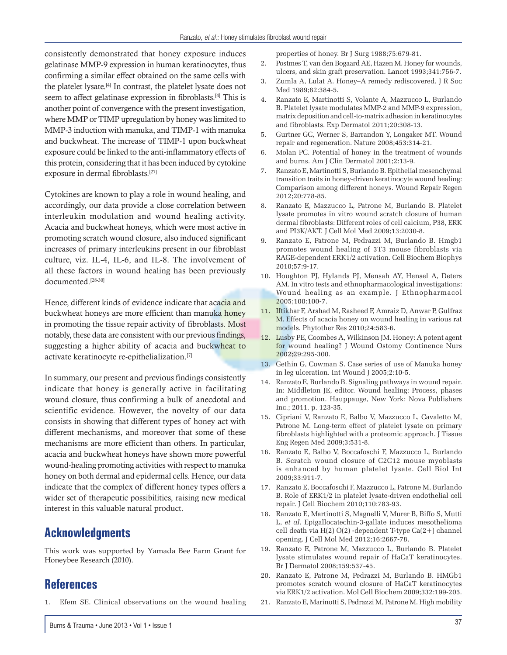consistently demonstrated that honey exposure induces gelatinase MMP-9 expression in human keratinocytes, thus confirming a similar effect obtained on the same cells with the platelet lysate.[4] In contrast, the platelet lysate does not seem to affect gelatinase expression in fibroblasts.<sup>[4]</sup> This is another point of convergence with the present investigation, where MMP or TIMP upregulation by honey was limited to MMP-3 induction with manuka, and TIMP-1 with manuka and buckwheat. The increase of TIMP-1 upon buckwheat exposure could be linked to the anti-inflammatory effects of this protein, considering that it has been induced by cytokine exposure in dermal fibroblasts.[27]

Cytokines are known to play a role in wound healing, and accordingly, our data provide a close correlation between interleukin modulation and wound healing activity. Acacia and buckwheat honeys, which were most active in promoting scratch wound closure, also induced significant increases of primary interleukins present in our fibroblast culture, viz. IL-4, IL-6, and IL-8. The involvement of all these factors in wound healing has been previously documented.[28-30]

Hence, different kinds of evidence indicate that acacia and buckwheat honeys are more efficient than manuka honey in promoting the tissue repair activity of fibroblasts. Most notably, these data are consistent with our previous findings, suggesting a higher ability of acacia and buckwheat to activate keratinocyte re-epithelialization.[7]

In summary, our present and previous findings consistently indicate that honey is generally active in facilitating wound closure, thus confirming a bulk of anecdotal and scientific evidence. However, the novelty of our data consists in showing that different types of honey act with different mechanisms, and moreover that some of these mechanisms are more efficient than others. In particular, acacia and buckwheat honeys have shown more powerful wound-healing promoting activities with respect to manuka honey on both dermal and epidermal cells. Hence, our data indicate that the complex of different honey types offers a wider set of therapeutic possibilities, raising new medical interest in this valuable natural product.

## **Acknowledgments**

This work was supported by Yamada Bee Farm Grant for Honeybee Research (2010).

## **References**

1. Efem SE. Clinical observations on the wound healing

properties of honey. Br J Surg 1988;75:679-81.

- 2. Postmes T, van den Bogaard AE, Hazen M. Honey for wounds, ulcers, and skin graft preservation. Lancet 1993;341:756-7.
- 3. Zumla A, Lulat A. Honey–A remedy rediscovered. J R Soc Med 1989;82:384-5.
- 4. Ranzato E, Martinotti S, Volante A, Mazzucco L, Burlando B. Platelet lysate modulates MMP-2 and MMP-9 expression, matrix deposition and cell-to-matrix adhesion in keratinocytes and fibroblasts. Exp Dermatol 2011;20:308-13.
- 5. Gurtner GC, Werner S, Barrandon Y, Longaker MT. Wound repair and regeneration. Nature 2008;453:314-21.
- 6. Molan PC. Potential of honey in the treatment of wounds and burns. Am J Clin Dermatol 2001;2:13-9.
- 7. Ranzato E, Martinotti S, Burlando B. Epithelial mesenchymal transition traits in honey-driven keratinocyte wound healing: Comparison among different honeys. Wound Repair Regen 2012;20:778-85.
- 8. Ranzato E, Mazzucco L, Patrone M, Burlando B. Platelet lysate promotes in vitro wound scratch closure of human dermal fibroblasts: Different roles of cell calcium, P38, ERK and PI3K/AKT. J Cell Mol Med 2009;13:2030-8.
- 9. Ranzato E, Patrone M, Pedrazzi M, Burlando B. Hmgb1 promotes wound healing of 3T3 mouse fibroblasts via RAGE-dependent ERK1/2 activation. Cell Biochem Biophys 2010;57:9-17.
- 10. Houghton PJ, Hylands PJ, Mensah AY, Hensel A, Deters AM. In vitro tests and ethnopharmacological investigations: Wound healing as an example. J Ethnopharmacol 2005;100:100-7.
- 11. Iftikhar F, Arshad M, Rasheed F, Amraiz D, Anwar P, Gulfraz M. Effects of acacia honey on wound healing in various rat models. Phytother Res 2010;24:583-6.
- 12. Lusby PE, Coombes A, Wilkinson JM. Honey: A potent agent for wound healing? J Wound Ostomy Continence Nurs 2002;29:295-300.
- 13. Gethin G, Cowman S. Case series of use of Manuka honey in leg ulceration. Int Wound J 2005;2:10-5.
- 14. Ranzato E, Burlando B. Signaling pathways in wound repair. In: Middleton JE, editor. Wound healing: Process, phases and promotion. Hauppauge, New York: Nova Publishers Inc.; 2011. p. 123-35.
- 15. Cipriani V, Ranzato E, Balbo V, Mazzucco L, Cavaletto M, Patrone M. Long-term effect of platelet lysate on primary fibroblasts highlighted with a proteomic approach. J Tissue Eng Regen Med 2009;3:531-8.
- 16. Ranzato E, Balbo V, Boccafoschi F, Mazzucco L, Burlando B. Scratch wound closure of C2C12 mouse myoblasts is enhanced by human platelet lysate. Cell Biol Int 2009;33:911-7.
- 17. Ranzato E, Boccafoschi F, Mazzucco L, Patrone M, Burlando B. Role of ERK1/2 in platelet lysate-driven endothelial cell repair. J Cell Biochem 2010;110:783-93.
- 18. Ranzato E, Martinotti S, Magnelli V, Murer B, Biffo S, Mutti L, *et al*. Epigallocatechin-3-gallate induces mesothelioma cell death via H(2) O(2) -dependent T-type Ca(2+) channel opening. J Cell Mol Med 2012;16:2667-78.
- 19. Ranzato E, Patrone M, Mazzucco L, Burlando B. Platelet lysate stimulates wound repair of HaCaT keratinocytes. Br J Dermatol 2008;159:537-45.
- 20. Ranzato E, Patrone M, Pedrazzi M, Burlando B. HMGb1 promotes scratch wound closure of HaCaT keratinocytes via ERK1/2 activation. Mol Cell Biochem 2009;332:199-205.
- 21. Ranzato E, Marinotti S, Pedrazzi M, Patrone M. High mobility